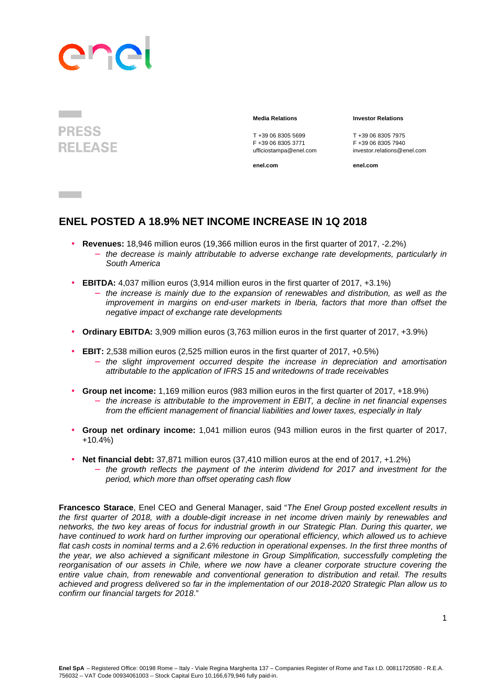# anp



**Contract** 

T +39 06 8305 5699<br>
F +39 06 8305 3771<br>
F +39 06 8305 3771<br>
F +39 06 8305 7940

**enel.com enel.com**

#### **Media Relations Investor Relations**

F +39 06 8305 3771 F +39 06 8305 7940 ufficiostampa@enel.com investor.relations@enel.com

#### **ENEL POSTED A 18.9% NET INCOME INCREASE IN 1Q 2018**

- **Revenues:** 18,946 million euros (19,366 million euros in the first quarter of 2017, -2.2%)
	- − the decrease is mainly attributable to adverse exchange rate developments, particularly in South America
- **EBITDA:** 4,037 million euros (3,914 million euros in the first quarter of 2017, +3.1%)
	- − the increase is mainly due to the expansion of renewables and distribution, as well as the improvement in margins on end-user markets in Iberia, factors that more than offset the negative impact of exchange rate developments
- **Ordinary EBITDA:** 3,909 million euros (3,763 million euros in the first quarter of 2017, +3.9%)
- **EBIT:** 2,538 million euros (2,525 million euros in the first quarter of 2017, +0.5%)
	- − the slight improvement occurred despite the increase in depreciation and amortisation attributable to the application of IFRS 15 and writedowns of trade receivables
- **Group net income:** 1,169 million euros (983 million euros in the first quarter of 2017, +18.9%)
	- the increase is attributable to the improvement in EBIT, a decline in net financial expenses from the efficient management of financial liabilities and lower taxes, especially in Italy
- **Group net ordinary income:** 1,041 million euros (943 million euros in the first quarter of 2017, +10.4%)
- **Net financial debt:** 37,871 million euros (37,410 million euros at the end of 2017, +1.2%)
	- the growth reflects the payment of the interim dividend for 2017 and investment for the period, which more than offset operating cash flow

**Francesco Starace**, Enel CEO and General Manager, said "The Enel Group posted excellent results in the first quarter of 2018, with a double-digit increase in net income driven mainly by renewables and networks, the two key areas of focus for industrial growth in our Strategic Plan. During this quarter, we have continued to work hard on further improving our operational efficiency, which allowed us to achieve flat cash costs in nominal terms and a 2.6% reduction in operational expenses. In the first three months of the year, we also achieved a significant milestone in Group Simplification, successfully completing the reorganisation of our assets in Chile, where we now have a cleaner corporate structure covering the entire value chain, from renewable and conventional generation to distribution and retail. The results achieved and progress delivered so far in the implementation of our 2018-2020 Strategic Plan allow us to confirm our financial targets for 2018."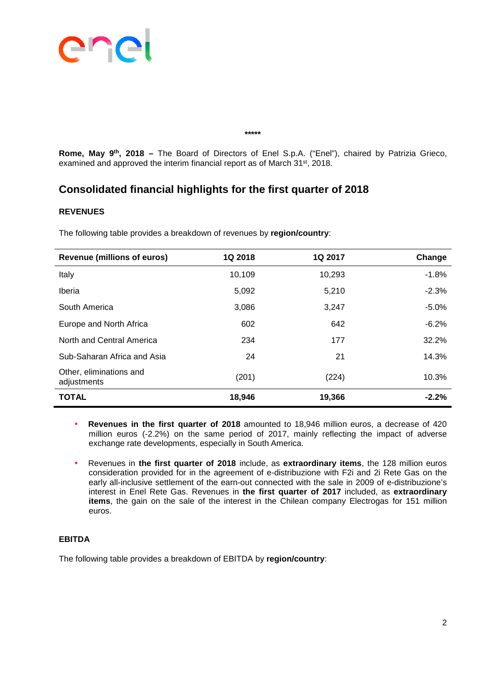

**Rome, May 9th, 2018 –** The Board of Directors of Enel S.p.A. ("Enel"), chaired by Patrizia Grieco, examined and approved the interim financial report as of March 31<sup>st</sup>, 2018.

**\*\*\*\*\*** 

#### **Consolidated financial highlights for the first quarter of 2018**

#### **REVENUES**

**Revenue (millions of euros) 1Q 2018 1Q 2017 Change** Italy 10,109 10,293 -1.8% Iberia 5,092 5,210 -2.3% South America **3,086** 3,247 -5.0% Europe and North Africa  $602$  602 642 642 -6.2% North and Central America **234** 234 177 32.2% Sub-Saharan Africa and Asia 24 21 21 21 21 21 21 Other, eliminations and offici, climinations and (201) (201) (224) (224) 10.3% **TOTAL 18,946 19,366 -2.2%**

The following table provides a breakdown of revenues by **region/country**:

- **Revenues in the first quarter of 2018** amounted to 18,946 million euros, a decrease of 420 million euros (-2.2%) on the same period of 2017, mainly reflecting the impact of adverse exchange rate developments, especially in South America.
- Revenues in **the first quarter of 2018** include, as **extraordinary items**, the 128 million euros consideration provided for in the agreement of e-distribuzione with F2i and 2i Rete Gas on the early all-inclusive settlement of the earn-out connected with the sale in 2009 of e-distribuzione's interest in Enel Rete Gas. Revenues in **the first quarter of 2017** included, as **extraordinary items**, the gain on the sale of the interest in the Chilean company Electrogas for 151 million euros.

#### **EBITDA**

The following table provides a breakdown of EBITDA by **region/country**: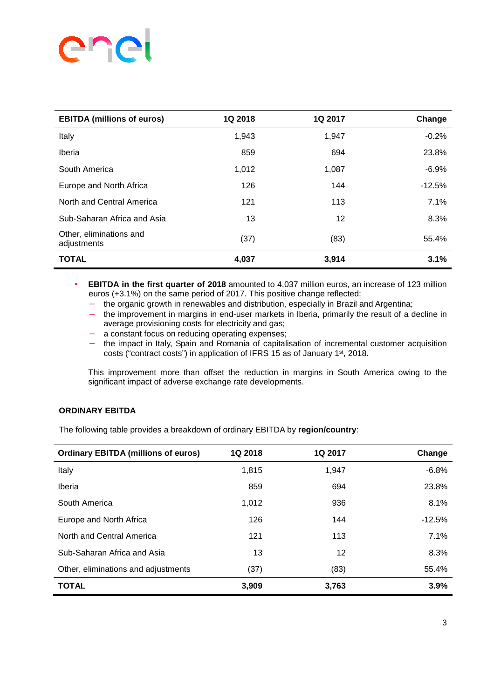## ene ľ

| <b>EBITDA (millions of euros)</b>      | 1Q 2018 | 1Q 2017 | Change   |
|----------------------------------------|---------|---------|----------|
| Italy                                  | 1,943   | 1,947   | $-0.2%$  |
| Iberia                                 | 859     | 694     | 23.8%    |
| South America                          | 1,012   | 1,087   | $-6.9%$  |
| Europe and North Africa                | 126     | 144     | $-12.5%$ |
| North and Central America              | 121     | 113     | 7.1%     |
| Sub-Saharan Africa and Asia            | 13      | 12      | 8.3%     |
| Other, eliminations and<br>adjustments | (37)    | (83)    | 55.4%    |
| <b>TOTAL</b>                           | 4,037   | 3,914   | 3.1%     |

• **EBITDA in the first quarter of 2018** amounted to 4,037 million euros, an increase of 123 million euros (+3.1%) on the same period of 2017. This positive change reflected:

- − the organic growth in renewables and distribution, especially in Brazil and Argentina;
- − the improvement in margins in end-user markets in Iberia, primarily the result of a decline in average provisioning costs for electricity and gas:
- a constant focus on reducing operating expenses;
- the impact in Italy, Spain and Romania of capitalisation of incremental customer acquisition costs ("contract costs") in application of IFRS 15 as of January 1st, 2018.

This improvement more than offset the reduction in margins in South America owing to the significant impact of adverse exchange rate developments.

#### **ORDINARY EBITDA**

The following table provides a breakdown of ordinary EBITDA by **region/country**:

| <b>Ordinary EBITDA (millions of euros)</b> | 1Q 2018 | 1Q 2017 | Change   |
|--------------------------------------------|---------|---------|----------|
| Italy                                      | 1,815   | 1.947   | $-6.8%$  |
| Iberia                                     | 859     | 694     | 23.8%    |
| South America                              | 1,012   | 936     | 8.1%     |
| Europe and North Africa                    | 126     | 144     | $-12.5%$ |
| North and Central America                  | 121     | 113     | 7.1%     |
| Sub-Saharan Africa and Asia                | 13      | 12      | 8.3%     |
| Other, eliminations and adjustments        | (37)    | (83)    | 55.4%    |
| <b>TOTAL</b>                               | 3.909   | 3,763   | 3.9%     |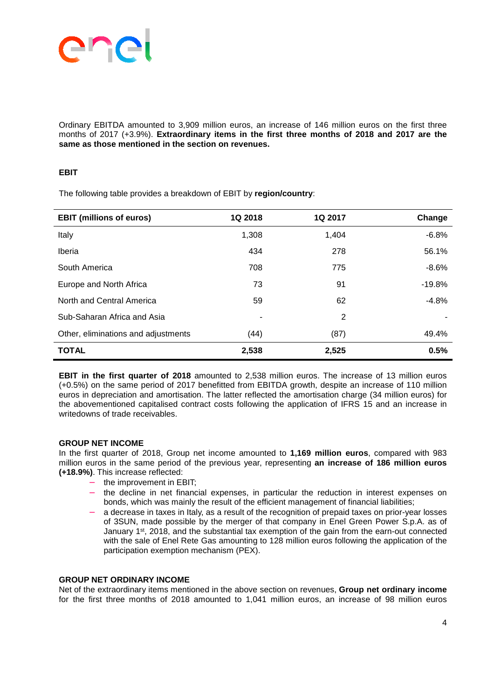

Ordinary EBITDA amounted to 3,909 million euros, an increase of 146 million euros on the first three months of 2017 (+3.9%). **Extraordinary items in the first three months of 2018 and 2017 are the same as those mentioned in the section on revenues.**

#### **EBIT**

The following table provides a breakdown of EBIT by **region/country**:

| <b>EBIT (millions of euros)</b>     | 1Q 2018 | 1Q 2017 | Change   |
|-------------------------------------|---------|---------|----------|
| Italy                               | 1,308   | 1,404   | $-6.8%$  |
| Iberia                              | 434     | 278     | 56.1%    |
| South America                       | 708     | 775     | $-8.6%$  |
| Europe and North Africa             | 73      | 91      | $-19.8%$ |
| North and Central America           | 59      | 62      | $-4.8%$  |
| Sub-Saharan Africa and Asia         | ٠       | 2       |          |
| Other, eliminations and adjustments | (44)    | (87)    | 49.4%    |
| <b>TOTAL</b>                        | 2,538   | 2,525   | 0.5%     |

**EBIT in the first quarter of 2018** amounted to 2,538 million euros. The increase of 13 million euros (+0.5%) on the same period of 2017 benefitted from EBITDA growth, despite an increase of 110 million euros in depreciation and amortisation. The latter reflected the amortisation charge (34 million euros) for the abovementioned capitalised contract costs following the application of IFRS 15 and an increase in writedowns of trade receivables.

#### **GROUP NET INCOME**

In the first quarter of 2018, Group net income amounted to **1,169 million euros**, compared with 983 million euros in the same period of the previous year, representing **an increase of 186 million euros (+18.9%)**. This increase reflected:

- the improvement in EBIT:
- − the decline in net financial expenses, in particular the reduction in interest expenses on bonds, which was mainly the result of the efficient management of financial liabilities;
- a decrease in taxes in Italy, as a result of the recognition of prepaid taxes on prior-year losses of 3SUN, made possible by the merger of that company in Enel Green Power S.p.A. as of January 1st, 2018, and the substantial tax exemption of the gain from the earn-out connected with the sale of Enel Rete Gas amounting to 128 million euros following the application of the participation exemption mechanism (PEX).

#### **GROUP NET ORDINARY INCOME**

Net of the extraordinary items mentioned in the above section on revenues, **Group net ordinary income**  for the first three months of 2018 amounted to 1,041 million euros, an increase of 98 million euros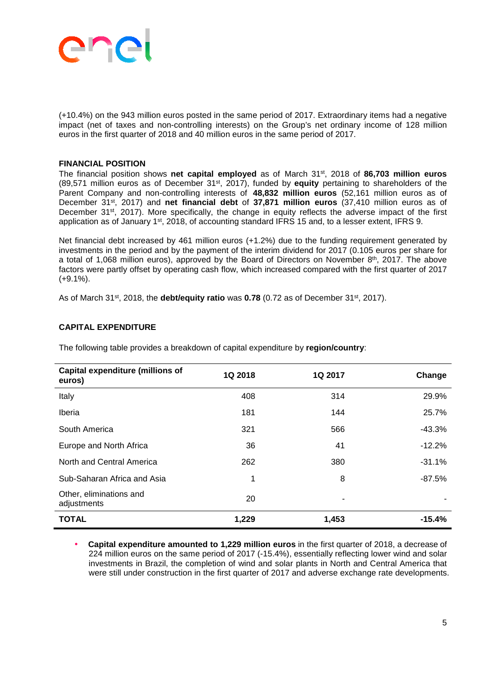

(+10.4%) on the 943 million euros posted in the same period of 2017. Extraordinary items had a negative impact (net of taxes and non-controlling interests) on the Group's net ordinary income of 128 million euros in the first quarter of 2018 and 40 million euros in the same period of 2017.

#### **FINANCIAL POSITION**

The financial position shows **net capital employed** as of March 31st, 2018 of **86,703 million euros** (89,571 million euros as of December 31st, 2017), funded by **equity** pertaining to shareholders of the Parent Company and non-controlling interests of **48,832 million euros** (52,161 million euros as of December 31st, 2017) and **net financial debt** of **37,871 million euros** (37,410 million euros as of December 31<sup>st</sup>, 2017). More specifically, the change in equity reflects the adverse impact of the first application as of January 1<sup>st</sup>, 2018, of accounting standard IFRS 15 and, to a lesser extent, IFRS 9.

Net financial debt increased by 461 million euros (+1.2%) due to the funding requirement generated by investments in the period and by the payment of the interim dividend for 2017 (0.105 euros per share for a total of 1,068 million euros), approved by the Board of Directors on November 8th, 2017. The above factors were partly offset by operating cash flow, which increased compared with the first quarter of 2017  $(+9.1\%)$ .

As of March 31st, 2018, the **debt/equity ratio** was **0.78** (0.72 as of December 31st, 2017).

#### **CAPITAL EXPENDITURE**

| <b>Capital expenditure (millions of</b><br>euros) | 1Q 2018 | 1Q 2017 | Change   |
|---------------------------------------------------|---------|---------|----------|
| Italy                                             | 408     | 314     | 29.9%    |
| Iberia                                            | 181     | 144     | 25.7%    |
| South America                                     | 321     | 566     | $-43.3%$ |
| Europe and North Africa                           | 36      | 41      | $-12.2%$ |
| North and Central America                         | 262     | 380     | $-31.1%$ |
| Sub-Saharan Africa and Asia                       | 1       | 8       | $-87.5%$ |
| Other, eliminations and<br>adjustments            | 20      | ٠       |          |
| <b>TOTAL</b>                                      | 1,229   | 1,453   | $-15.4%$ |

The following table provides a breakdown of capital expenditure by **region/country**:

• **Capital expenditure amounted to 1,229 million euros** in the first quarter of 2018, a decrease of 224 million euros on the same period of 2017 (-15.4%), essentially reflecting lower wind and solar investments in Brazil, the completion of wind and solar plants in North and Central America that were still under construction in the first quarter of 2017 and adverse exchange rate developments.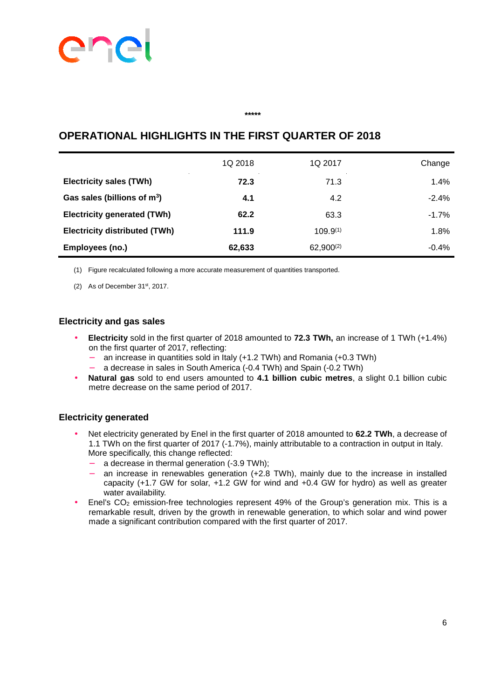## **PICT** ľ

## 1Q 2018 1Q 2017 Change **Electricity sales (TWh)**  $\overline{72.3}$   $\overline{71.3}$   $\overline{71.3}$   $\overline{1.4\%}$ **Gas sales (billions of m<sup>3</sup> a 4.1 4.2**  $-2.4\%$ **Electricity generated (TWh) 62.2** 63.3 63.3 -1.7% **Electricity distributed (TWh)** 111.9 109.9<sup>(1)</sup> 1.8% **Employees (no.)** 62,633 62,900<sup>(2)</sup> 62,900 62,900 62,900 62,900 62,900 62,900  $-0.4\%$

**\*\*\*\*\*** 

#### **OPERATIONAL HIGHLIGHTS IN THE FIRST QUARTER OF 2018**

(1) Figure recalculated following a more accurate measurement of quantities transported.

(2) As of December  $31<sup>st</sup>$ , 2017.

#### **Electricity and gas sales**

- **Electricity** sold in the first quarter of 2018 amounted to **72.3 TWh,** an increase of 1 TWh (+1.4%) on the first quarter of 2017, reflecting:
	- an increase in quantities sold in Italy (+1.2 TWh) and Romania (+0.3 TWh)
	- − a decrease in sales in South America (-0.4 TWh) and Spain (-0.2 TWh)
- **Natural gas** sold to end users amounted to **4.1 billion cubic metres**, a slight 0.1 billion cubic metre decrease on the same period of 2017.

#### **Electricity generated**

- Net electricity generated by Enel in the first quarter of 2018 amounted to **62.2 TWh**, a decrease of 1.1 TWh on the first quarter of 2017 (-1.7%), mainly attributable to a contraction in output in Italy. More specifically, this change reflected:
	- a decrease in thermal generation (-3.9 TWh);
	- an increase in renewables generation (+2.8 TWh), mainly due to the increase in installed capacity (+1.7 GW for solar, +1.2 GW for wind and +0.4 GW for hydro) as well as greater water availability.
- Enel's CO<sub>2</sub> emission-free technologies represent 49% of the Group's generation mix. This is a remarkable result, driven by the growth in renewable generation, to which solar and wind power made a significant contribution compared with the first quarter of 2017.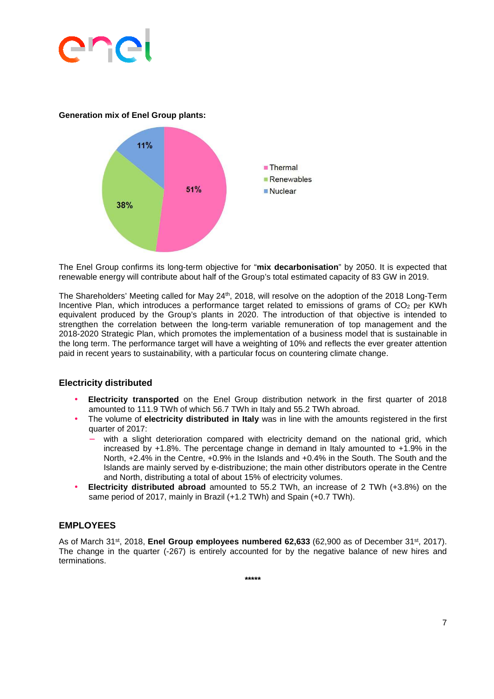

**Generation mix of Enel Group plants:** 



The Enel Group confirms its long-term objective for "**mix decarbonisation**" by 2050. It is expected that renewable energy will contribute about half of the Group's total estimated capacity of 83 GW in 2019.

The Shareholders' Meeting called for May 24<sup>th</sup>, 2018, will resolve on the adoption of the 2018 Long-Term Incentive Plan, which introduces a performance target related to emissions of grams of  $CO<sub>2</sub>$  per KWh equivalent produced by the Group's plants in 2020. The introduction of that objective is intended to strengthen the correlation between the long-term variable remuneration of top management and the 2018-2020 Strategic Plan, which promotes the implementation of a business model that is sustainable in the long term. The performance target will have a weighting of 10% and reflects the ever greater attention paid in recent years to sustainability, with a particular focus on countering climate change.

#### **Electricity distributed**

- **Electricity transported** on the Enel Group distribution network in the first quarter of 2018 amounted to 111.9 TWh of which 56.7 TWh in Italy and 55.2 TWh abroad.
- The volume of **electricity distributed in Italy** was in line with the amounts registered in the first quarter of 2017:
	- with a slight deterioration compared with electricity demand on the national grid, which increased by +1.8%. The percentage change in demand in Italy amounted to +1.9% in the North, +2.4% in the Centre, +0.9% in the Islands and +0.4% in the South. The South and the Islands are mainly served by e-distribuzione; the main other distributors operate in the Centre and North, distributing a total of about 15% of electricity volumes.
- **Electricity distributed abroad** amounted to 55.2 TWh, an increase of 2 TWh (+3.8%) on the same period of 2017, mainly in Brazil (+1.2 TWh) and Spain (+0.7 TWh).

#### **EMPLOYEES**

As of March 31<sup>st</sup>, 2018, **Enel Group employees numbered 62,633** (62,900 as of December 31<sup>st</sup>, 2017). The change in the quarter (-267) is entirely accounted for by the negative balance of new hires and terminations.

**\*\*\*\*\***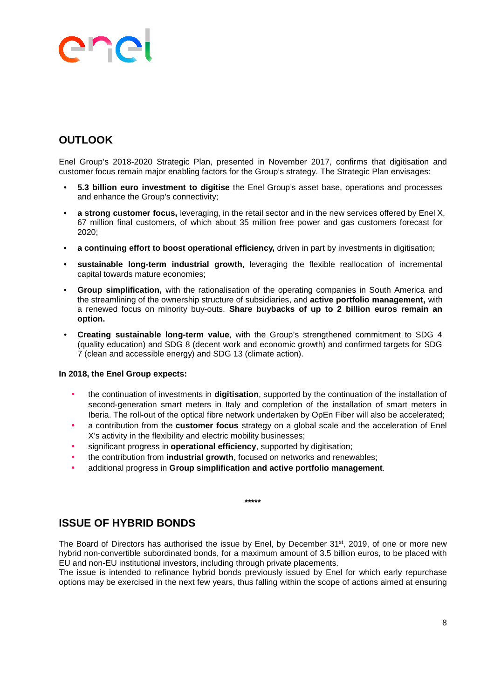## ane ľ

### **OUTLOOK**

Enel Group's 2018-2020 Strategic Plan, presented in November 2017, confirms that digitisation and customer focus remain major enabling factors for the Group's strategy. The Strategic Plan envisages:

- **5.3 billion euro investment to digitise** the Enel Group's asset base, operations and processes and enhance the Group's connectivity;
- **a strong customer focus,** leveraging, in the retail sector and in the new services offered by Enel X, 67 million final customers, of which about 35 million free power and gas customers forecast for 2020;
- **a continuing effort to boost operational efficiency,** driven in part by investments in digitisation;
- **sustainable long-term industrial growth**, leveraging the flexible reallocation of incremental capital towards mature economies;
- **Group simplification,** with the rationalisation of the operating companies in South America and the streamlining of the ownership structure of subsidiaries, and **active portfolio management,** with a renewed focus on minority buy-outs. **Share buybacks of up to 2 billion euros remain an option.**
- **Creating sustainable long-term value**, with the Group's strengthened commitment to SDG 4 (quality education) and SDG 8 (decent work and economic growth) and confirmed targets for SDG 7 (clean and accessible energy) and SDG 13 (climate action).

#### **In 2018, the Enel Group expects:**

- the continuation of investments in **digitisation**, supported by the continuation of the installation of second-generation smart meters in Italy and completion of the installation of smart meters in Iberia. The roll-out of the optical fibre network undertaken by OpEn Fiber will also be accelerated;
- a contribution from the **customer focus** strategy on a global scale and the acceleration of Enel X's activity in the flexibility and electric mobility businesses;
- significant progress in **operational efficiency**, supported by digitisation;
- the contribution from **industrial growth**, focused on networks and renewables;
- additional progress in **Group simplification and active portfolio management**.

#### **ISSUE OF HYBRID BONDS**

The Board of Directors has authorised the issue by Enel, by December 31<sup>st</sup>, 2019, of one or more new hybrid non-convertible subordinated bonds, for a maximum amount of 3.5 billion euros, to be placed with EU and non-EU institutional investors, including through private placements.

**\*\*\*\*\*** 

The issue is intended to refinance hybrid bonds previously issued by Enel for which early repurchase options may be exercised in the next few years, thus falling within the scope of actions aimed at ensuring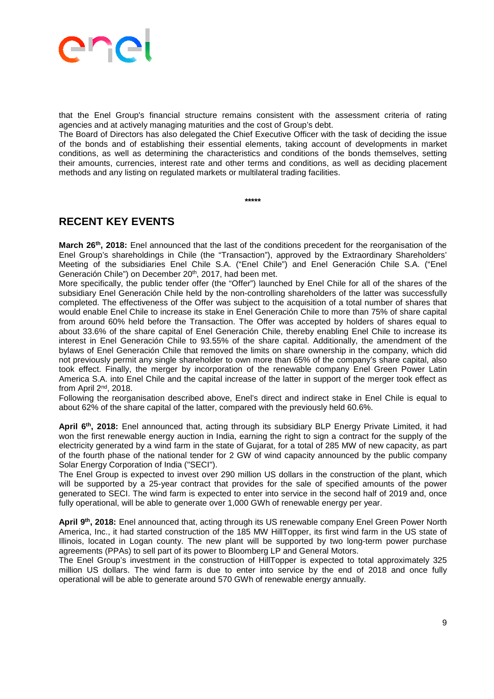

that the Enel Group's financial structure remains consistent with the assessment criteria of rating agencies and at actively managing maturities and the cost of Group's debt.

The Board of Directors has also delegated the Chief Executive Officer with the task of deciding the issue of the bonds and of establishing their essential elements, taking account of developments in market conditions, as well as determining the characteristics and conditions of the bonds themselves, setting their amounts, currencies, interest rate and other terms and conditions, as well as deciding placement methods and any listing on regulated markets or multilateral trading facilities.

**\*\*\*\*\***

**RECENT KEY EVENTS** 

**March 26th, 2018:** Enel announced that the last of the conditions precedent for the reorganisation of the Enel Group's shareholdings in Chile (the "Transaction"), approved by the Extraordinary Shareholders' Meeting of the subsidiaries Enel Chile S.A. ("Enel Chile") and Enel Generación Chile S.A. ("Enel Generación Chile") on December 20<sup>th</sup>, 2017, had been met.

More specifically, the public tender offer (the "Offer") launched by Enel Chile for all of the shares of the subsidiary Enel Generación Chile held by the non-controlling shareholders of the latter was successfully completed. The effectiveness of the Offer was subject to the acquisition of a total number of shares that would enable Enel Chile to increase its stake in Enel Generación Chile to more than 75% of share capital from around 60% held before the Transaction. The Offer was accepted by holders of shares equal to about 33.6% of the share capital of Enel Generación Chile, thereby enabling Enel Chile to increase its interest in Enel Generación Chile to 93.55% of the share capital. Additionally, the amendment of the bylaws of Enel Generación Chile that removed the limits on share ownership in the company, which did not previously permit any single shareholder to own more than 65% of the company's share capital, also took effect. Finally, the merger by incorporation of the renewable company Enel Green Power Latin America S.A. into Enel Chile and the capital increase of the latter in support of the merger took effect as from April 2nd, 2018.

Following the reorganisation described above, Enel's direct and indirect stake in Enel Chile is equal to about 62% of the share capital of the latter, compared with the previously held 60.6%.

**April 6th, 2018:** Enel announced that, acting through its subsidiary BLP Energy Private Limited, it had won the first renewable energy auction in India, earning the right to sign a contract for the supply of the electricity generated by a wind farm in the state of Gujarat, for a total of 285 MW of new capacity, as part of the fourth phase of the national tender for 2 GW of wind capacity announced by the public company Solar Energy Corporation of India ("SECI").

The Enel Group is expected to invest over 290 million US dollars in the construction of the plant, which will be supported by a 25-year contract that provides for the sale of specified amounts of the power generated to SECI. The wind farm is expected to enter into service in the second half of 2019 and, once fully operational, will be able to generate over 1,000 GWh of renewable energy per year.

**April 9th, 2018:** Enel announced that, acting through its US renewable company Enel Green Power North America, Inc., it had started construction of the 185 MW HillTopper, its first wind farm in the US state of Illinois, located in Logan county. The new plant will be supported by two long-term power purchase agreements (PPAs) to sell part of its power to Bloomberg LP and General Motors.

The Enel Group's investment in the construction of HillTopper is expected to total approximately 325 million US dollars. The wind farm is due to enter into service by the end of 2018 and once fully operational will be able to generate around 570 GWh of renewable energy annually.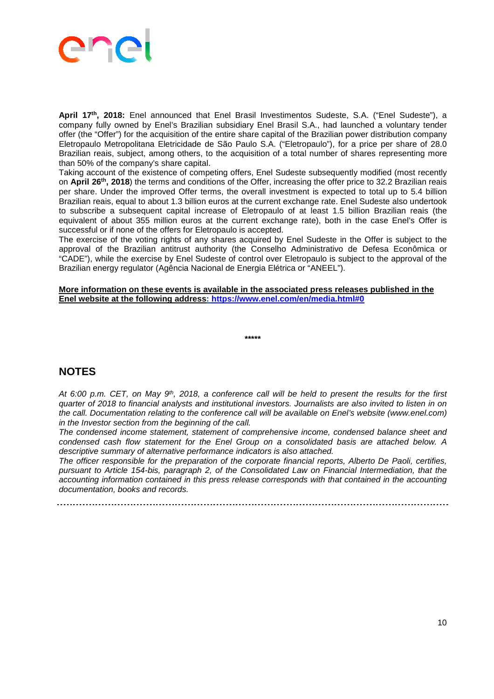

**April 17th, 2018:** Enel announced that Enel Brasil Investimentos Sudeste, S.A. ("Enel Sudeste"), a company fully owned by Enel's Brazilian subsidiary Enel Brasil S.A., had launched a voluntary tender offer (the "Offer") for the acquisition of the entire share capital of the Brazilian power distribution company Eletropaulo Metropolitana Eletricidade de São Paulo S.A. ("Eletropaulo"), for a price per share of 28.0 Brazilian reais, subject, among others, to the acquisition of a total number of shares representing more than 50% of the company's share capital.

Taking account of the existence of competing offers, Enel Sudeste subsequently modified (most recently on **April 26th, 2018**) the terms and conditions of the Offer, increasing the offer price to 32.2 Brazilian reais per share. Under the improved Offer terms, the overall investment is expected to total up to 5.4 billion Brazilian reais, equal to about 1.3 billion euros at the current exchange rate. Enel Sudeste also undertook to subscribe a subsequent capital increase of Eletropaulo of at least 1.5 billion Brazilian reais (the equivalent of about 355 million euros at the current exchange rate), both in the case Enel's Offer is successful or if none of the offers for Eletropaulo is accepted.

The exercise of the voting rights of any shares acquired by Enel Sudeste in the Offer is subject to the approval of the Brazilian antitrust authority (the Conselho Administrativo de Defesa Econômica or "CADE"), while the exercise by Enel Sudeste of control over Eletropaulo is subject to the approval of the Brazilian energy regulator (Agência Nacional de Energia Elétrica or "ANEEL").

#### **More information on these events is available in the associated press releases published in the Enel website at the following address: https://www.enel.com/en/media.html#0**

**\*\*\*\*\*** 

#### **NOTES**

At 6:00 p.m. CET, on May  $9<sup>th</sup>$ , 2018, a conference call will be held to present the results for the first quarter of 2018 to financial analysts and institutional investors. Journalists are also invited to listen in on the call. Documentation relating to the conference call will be available on Enel's website (www.enel.com) in the Investor section from the beginning of the call.

The condensed income statement, statement of comprehensive income, condensed balance sheet and condensed cash flow statement for the Enel Group on a consolidated basis are attached below. A descriptive summary of alternative performance indicators is also attached.

The officer responsible for the preparation of the corporate financial reports, Alberto De Paoli, certifies, pursuant to Article 154-bis, paragraph 2, of the Consolidated Law on Financial Intermediation, that the accounting information contained in this press release corresponds with that contained in the accounting documentation, books and records.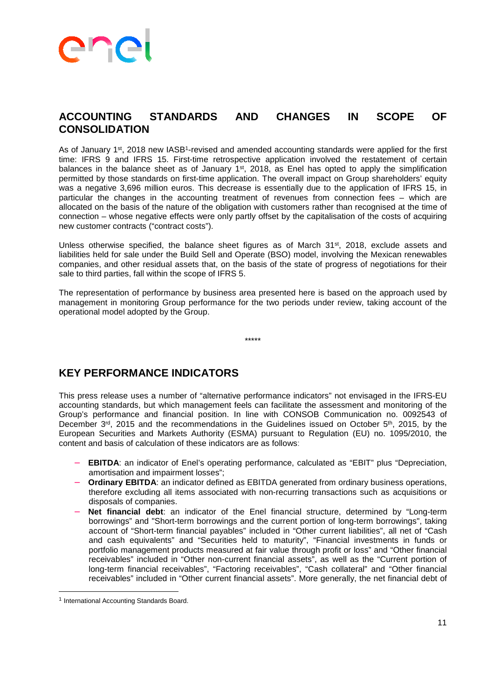

#### **ACCOUNTING STANDARDS AND CHANGES IN SCOPE OF CONSOLIDATION**

As of January 1<sup>st</sup>, 2018 new IASB<sup>1</sup>-revised and amended accounting standards were applied for the first time: IFRS 9 and IFRS 15. First-time retrospective application involved the restatement of certain balances in the balance sheet as of January 1<sup>st</sup>, 2018, as Enel has opted to apply the simplification permitted by those standards on first-time application. The overall impact on Group shareholders' equity was a negative 3,696 million euros. This decrease is essentially due to the application of IFRS 15, in particular the changes in the accounting treatment of revenues from connection fees – which are allocated on the basis of the nature of the obligation with customers rather than recognised at the time of connection – whose negative effects were only partly offset by the capitalisation of the costs of acquiring new customer contracts ("contract costs").

Unless otherwise specified, the balance sheet figures as of March 31<sup>st</sup>, 2018, exclude assets and liabilities held for sale under the Build Sell and Operate (BSO) model, involving the Mexican renewables companies, and other residual assets that, on the basis of the state of progress of negotiations for their sale to third parties, fall within the scope of IFRS 5.

The representation of performance by business area presented here is based on the approach used by management in monitoring Group performance for the two periods under review, taking account of the operational model adopted by the Group.

\*\*\*\*\*

#### **KEY PERFORMANCE INDICATORS**

This press release uses a number of "alternative performance indicators" not envisaged in the IFRS-EU accounting standards, but which management feels can facilitate the assessment and monitoring of the Group's performance and financial position. In line with CONSOB Communication no. 0092543 of December 3<sup>rd</sup>, 2015 and the recommendations in the Guidelines issued on October 5<sup>th</sup>, 2015, by the European Securities and Markets Authority (ESMA) pursuant to Regulation (EU) no. 1095/2010, the content and basis of calculation of these indicators are as follows:

- **EBITDA:** an indicator of Enel's operating performance, calculated as "EBIT" plus "Depreciation, amortisation and impairment losses";
- **Ordinary EBITDA:** an indicator defined as EBITDA generated from ordinary business operations, therefore excluding all items associated with non-recurring transactions such as acquisitions or disposals of companies.
- **Net financial debt**: an indicator of the Enel financial structure, determined by "Long-term borrowings" and "Short-term borrowings and the current portion of long-term borrowings", taking account of "Short-term financial payables" included in "Other current liabilities", all net of "Cash and cash equivalents" and "Securities held to maturity", "Financial investments in funds or portfolio management products measured at fair value through profit or loss" and "Other financial receivables" included in "Other non-current financial assets", as well as the "Current portion of long-term financial receivables", "Factoring receivables", "Cash collateral" and "Other financial receivables" included in "Other current financial assets". More generally, the net financial debt of

 $\overline{a}$ 

<sup>&</sup>lt;sup>1</sup> International Accounting Standards Board.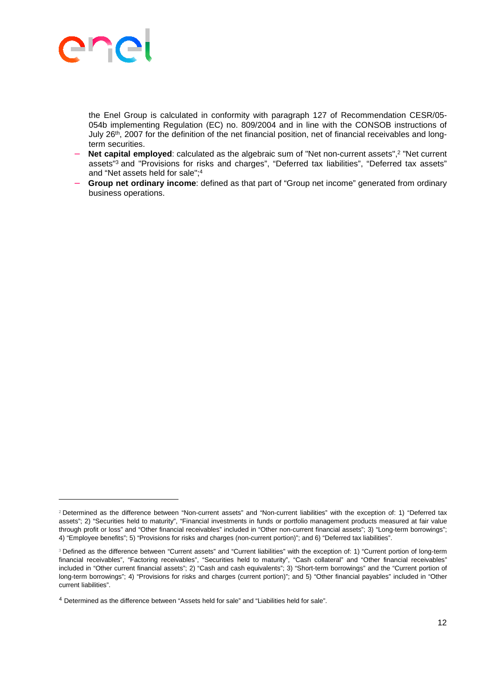

 $\overline{a}$ 

the Enel Group is calculated in conformity with paragraph 127 of Recommendation CESR/05- 054b implementing Regulation (EC) no. 809/2004 and in line with the CONSOB instructions of July 26th, 2007 for the definition of the net financial position, net of financial receivables and longterm securities.

- − **Net capital employed**: calculated as the algebraic sum of "Net non-current assets",<sup>2</sup> "Net current assets"<sup>3</sup> and "Provisions for risks and charges", "Deferred tax liabilities", "Deferred tax assets" and "Net assets held for sale";<sup>4</sup>
- **Group net ordinary income**: defined as that part of "Group net income" generated from ordinary business operations.

<sup>2</sup> Determined as the difference between "Non-current assets" and "Non-current liabilities" with the exception of: 1) "Deferred tax assets"; 2) "Securities held to maturity", "Financial investments in funds or portfolio management products measured at fair value through profit or loss" and "Other financial receivables" included in "Other non-current financial assets"; 3) "Long-term borrowings"; 4) "Employee benefits"; 5) "Provisions for risks and charges (non-current portion)"; and 6) "Deferred tax liabilities".

<sup>3</sup> Defined as the difference between "Current assets" and "Current liabilities" with the exception of: 1) "Current portion of long-term financial receivables", "Factoring receivables", "Securities held to maturity", "Cash collateral" and "Other financial receivables" included in "Other current financial assets"; 2) "Cash and cash equivalents"; 3) "Short-term borrowings" and the "Current portion of long-term borrowings"; 4) "Provisions for risks and charges (current portion)"; and 5) "Other financial payables" included in "Other current liabilities".

<sup>4</sup> Determined as the difference between "Assets held for sale" and "Liabilities held for sale".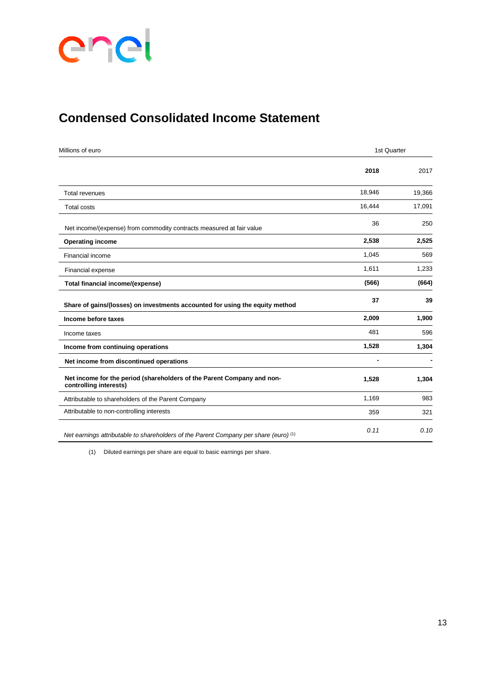

## **Condensed Consolidated Income Statement**

| Millions of euro                                                                                 | 1st Quarter |        |
|--------------------------------------------------------------------------------------------------|-------------|--------|
|                                                                                                  | 2018        | 2017   |
| <b>Total revenues</b>                                                                            | 18,946      | 19,366 |
| <b>Total costs</b>                                                                               | 16,444      | 17,091 |
| Net income/(expense) from commodity contracts measured at fair value                             | 36          | 250    |
| <b>Operating income</b>                                                                          | 2,538       | 2,525  |
| Financial income                                                                                 | 1,045       | 569    |
| Financial expense                                                                                | 1,611       | 1,233  |
| Total financial income/(expense)                                                                 | (566)       | (664)  |
| Share of gains/(losses) on investments accounted for using the equity method                     | 37          | 39     |
| Income before taxes                                                                              | 2,009       | 1,900  |
| Income taxes                                                                                     | 481         | 596    |
| Income from continuing operations                                                                | 1,528       | 1,304  |
| Net income from discontinued operations                                                          |             |        |
| Net income for the period (shareholders of the Parent Company and non-<br>controlling interests) | 1,528       | 1,304  |
| Attributable to shareholders of the Parent Company                                               | 1,169       | 983    |
| Attributable to non-controlling interests                                                        | 359         | 321    |
| Net earnings attributable to shareholders of the Parent Company per share (euro) <sup>(1)</sup>  | 0.11        | 0.10   |

(1) Diluted earnings per share are equal to basic earnings per share.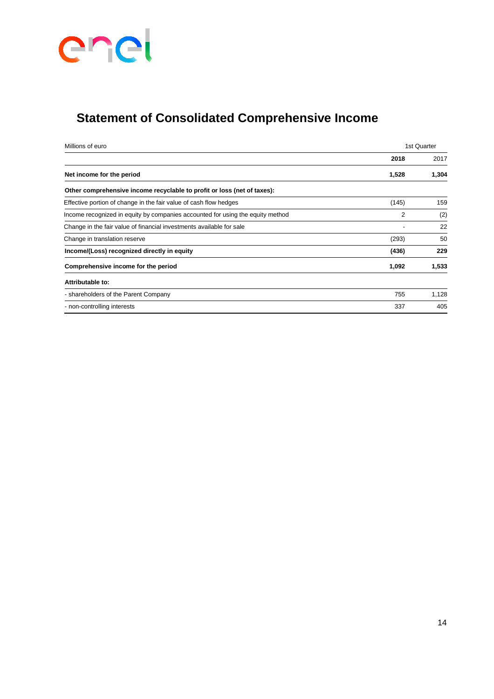

## **Statement of Consolidated Comprehensive Income**

| Millions of euro                                                               | 1st Quarter |       |
|--------------------------------------------------------------------------------|-------------|-------|
|                                                                                | 2018        | 2017  |
| Net income for the period                                                      | 1,528       | 1,304 |
| Other comprehensive income recyclable to profit or loss (net of taxes):        |             |       |
| Effective portion of change in the fair value of cash flow hedges              | (145)       | 159   |
| Income recognized in equity by companies accounted for using the equity method | 2           | (2)   |
| Change in the fair value of financial investments available for sale           |             | 22    |
| Change in translation reserve                                                  | (293)       | 50    |
| Income/(Loss) recognized directly in equity                                    | (436)       | 229   |
| Comprehensive income for the period                                            | 1,092       | 1,533 |
| Attributable to:                                                               |             |       |
| - shareholders of the Parent Company                                           | 755         | 1,128 |
| - non-controlling interests                                                    | 337         | 405   |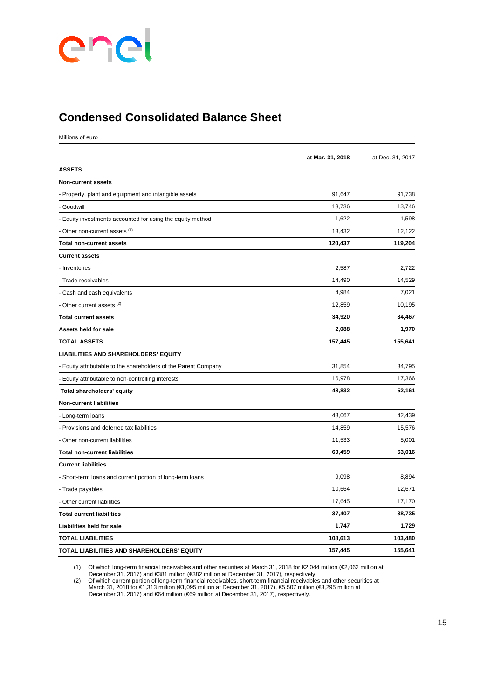

### **Condensed Consolidated Balance Sheet**

Millions of euro

|                                                                 | at Mar. 31, 2018 | at Dec. 31, 2017 |
|-----------------------------------------------------------------|------------------|------------------|
| <b>ASSETS</b>                                                   |                  |                  |
| <b>Non-current assets</b>                                       |                  |                  |
| - Property, plant and equipment and intangible assets           | 91,647           | 91,738           |
| - Goodwill                                                      | 13,736           | 13,746           |
| - Equity investments accounted for using the equity method      | 1,622            | 1,598            |
| - Other non-current assets (1)                                  | 13,432           | 12,122           |
| <b>Total non-current assets</b>                                 | 120,437          | 119,204          |
| <b>Current assets</b>                                           |                  |                  |
| - Inventories                                                   | 2,587            | 2,722            |
| - Trade receivables                                             | 14,490           | 14,529           |
| - Cash and cash equivalents                                     | 4,984            | 7,021            |
| - Other current assets (2)                                      | 12,859           | 10,195           |
| <b>Total current assets</b>                                     | 34,920           | 34,467           |
| Assets held for sale                                            | 2,088            | 1,970            |
| <b>TOTAL ASSETS</b>                                             | 157,445          | 155,641          |
| <b>LIABILITIES AND SHAREHOLDERS' EQUITY</b>                     |                  |                  |
| - Equity attributable to the shareholders of the Parent Company | 31,854           | 34,795           |
| - Equity attributable to non-controlling interests              | 16,978           | 17,366           |
| Total shareholders' equity                                      | 48,832           | 52,161           |
| <b>Non-current liabilities</b>                                  |                  |                  |
| - Long-term loans                                               | 43,067           | 42,439           |
| - Provisions and deferred tax liabilities                       | 14,859           | 15,576           |
| - Other non-current liabilities                                 | 11,533           | 5,001            |
| <b>Total non-current liabilities</b>                            | 69,459           | 63,016           |
| <b>Current liabilities</b>                                      |                  |                  |
| - Short-term loans and current portion of long-term loans       | 9,098            | 8,894            |
| - Trade payables                                                | 10,664           | 12,671           |
| - Other current liabilities                                     | 17,645           | 17,170           |
| <b>Total current liabilities</b>                                | 37,407           | 38,735           |
| Liabilities held for sale                                       | 1,747            | 1,729            |
| <b>TOTAL LIABILITIES</b>                                        | 108,613          | 103,480          |
| TOTAL LIABILITIES AND SHAREHOLDERS' EQUITY                      | 157,445          | 155,641          |

(1) Of which long-term financial receivables and other securities at March 31, 2018 for €2,044 million (€2,062 million at

December 31, 2017) and €381 million (€382 million at December 31, 2017), respectively.

(2) Of which current portion of long-term financial receivables, short-term financial receivables and other securities at March 31, 2018 for €1,313 million (€1,095 million at December 31, 2017), €5,507 million (€3,295 million at December 31, 2017) and €64 million (€69 million at December 31, 2017), respectively.